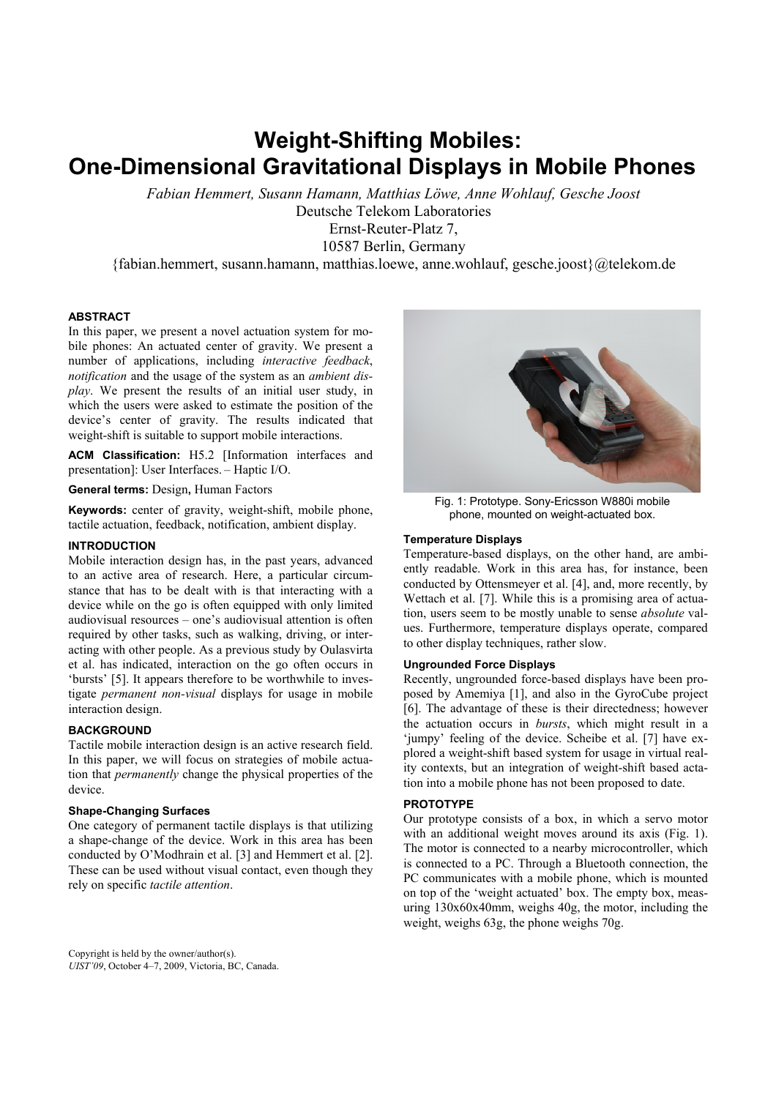# **Weight-Shifting Mobiles: One-Dimensional Gravitational Displays in Mobile Phones**

*Fabian Hemmert, Susann Hamann, Matthias Löwe, Anne Wohlauf, Gesche Joost*  Deutsche Telekom Laboratories Ernst-Reuter-Platz 7,

10587 Berlin, Germany

{fabian.hemmert, susann.hamann, matthias.loewe, anne.wohlauf, gesche.joost}@telekom.de

## **ABSTRACT**

In this paper, we present a novel actuation system for mobile phones: An actuated center of gravity. We present a number of applications, including *interactive feedback*, *notification* and the usage of the system as an *ambient display*. We present the results of an initial user study, in which the users were asked to estimate the position of the device's center of gravity. The results indicated that weight-shift is suitable to support mobile interactions.

**ACM Classification:** H5.2 [Information interfaces and presentation]: User Interfaces. – Haptic I/O.

**General terms:** Design**,** Human Factors

**Keywords:** center of gravity, weight-shift, mobile phone, tactile actuation, feedback, notification, ambient display.

## **INTRODUCTION**

Mobile interaction design has, in the past years, advanced to an active area of research. Here, a particular circumstance that has to be dealt with is that interacting with a device while on the go is often equipped with only limited audiovisual resources – one's audiovisual attention is often required by other tasks, such as walking, driving, or interacting with other people. As a previous study by Oulasvirta et al. has indicated, interaction on the go often occurs in 'bursts' [5]. It appears therefore to be worthwhile to investigate *permanent non-visual* displays for usage in mobile interaction design.

## **BACKGROUND**

Tactile mobile interaction design is an active research field. In this paper, we will focus on strategies of mobile actuation that *permanently* change the physical properties of the device.

## **Shape-Changing Surfaces**

One category of permanent tactile displays is that utilizing a shape-change of the device. Work in this area has been conducted by O'Modhrain et al. [3] and Hemmert et al. [2]. These can be used without visual contact, even though they rely on specific *tactile attention*.



Fig. 1: Prototype. Sony-Ericsson W880i mobile phone, mounted on weight-actuated box.

## **Temperature Displays**

Temperature-based displays, on the other hand, are ambiently readable. Work in this area has, for instance, been conducted by Ottensmeyer et al. [4], and, more recently, by Wettach et al. [7]. While this is a promising area of actuation, users seem to be mostly unable to sense *absolute* values. Furthermore, temperature displays operate, compared to other display techniques, rather slow.

# **Ungrounded Force Displays**

Recently, ungrounded force-based displays have been proposed by Amemiya [1], and also in the GyroCube project [6]. The advantage of these is their directedness; however the actuation occurs in *bursts*, which might result in a 'jumpy' feeling of the device. Scheibe et al. [7] have explored a weight-shift based system for usage in virtual reality contexts, but an integration of weight-shift based actation into a mobile phone has not been proposed to date.

## **PROTOTYPE**

Our prototype consists of a box, in which a servo motor with an additional weight moves around its axis (Fig. 1). The motor is connected to a nearby microcontroller, which is connected to a PC. Through a Bluetooth connection, the PC communicates with a mobile phone, which is mounted on top of the 'weight actuated' box. The empty box, measuring 130x60x40mm, weighs 40g, the motor, including the weight, weighs 63g, the phone weighs 70g.